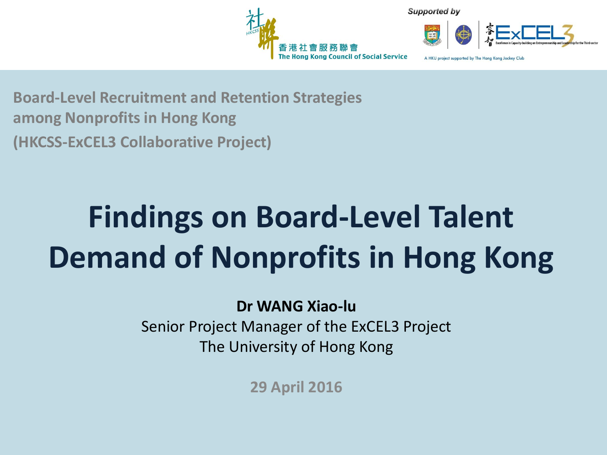

Supported by



A HKU project supported by The Hong Kong Jockey Club

**Board-Level Recruitment and Retention Strategies among Nonprofits in Hong Kong (HKCSS-ExCEL3 Collaborative Project)**

### **Findings on Board-Level Talent Demand of Nonprofits in Hong Kong**

#### **Dr WANG Xiao-lu**

Senior Project Manager of the ExCEL3 Project The University of Hong Kong

**29 April 2016**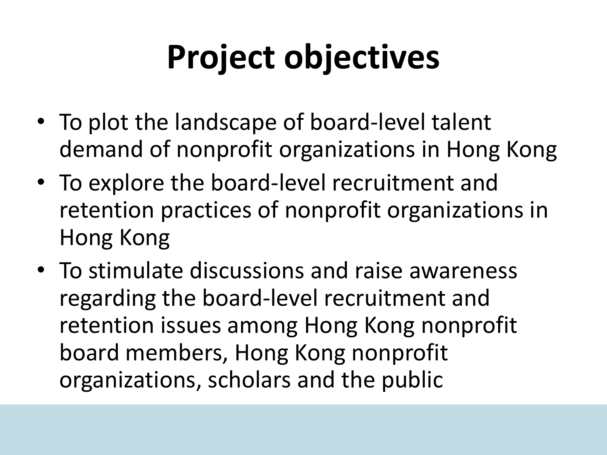# **Project objectives**

- To plot the landscape of board-level talent demand of nonprofit organizations in Hong Kong
- To explore the board-level recruitment and retention practices of nonprofit organizations in Hong Kong
- To stimulate discussions and raise awareness regarding the board-level recruitment and retention issues among Hong Kong nonprofit board members, Hong Kong nonprofit organizations, scholars and the public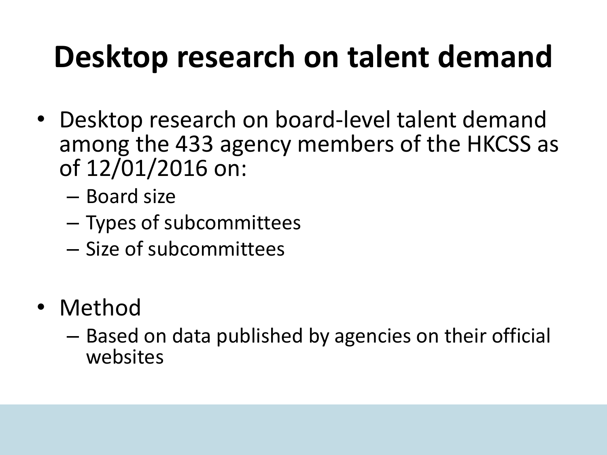### **Desktop research on talent demand**

- Desktop research on board-level talent demand among the 433 agency members of the HKCSS as of 12/01/2016 on:
	- Board size
	- Types of subcommittees
	- Size of subcommittees
- Method
	- Based on data published by agencies on their official websites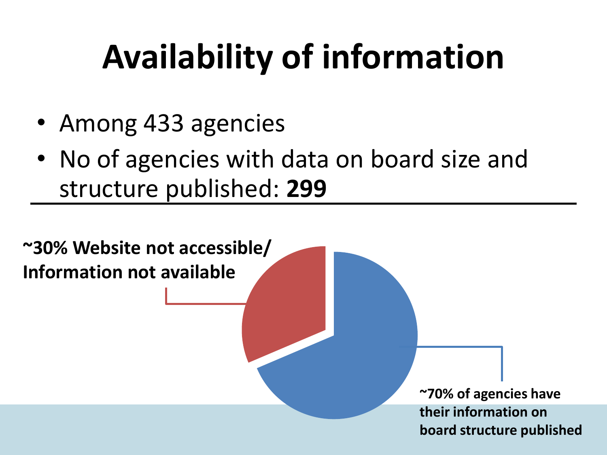# **Availability of information**

- Among 433 agencies
- No of agencies with data on board size and structure published: **299**

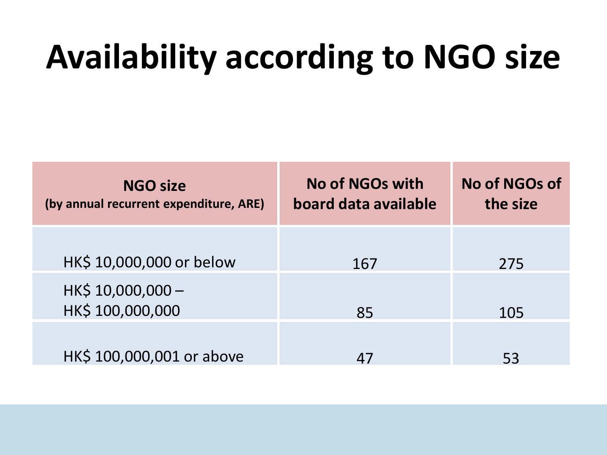## **Availability according to NGO size**

| <b>NGO size</b><br>(by annual recurrent expenditure, ARE) | No of NGOs with<br>board data available | No of NGOs of<br>the size |
|-----------------------------------------------------------|-----------------------------------------|---------------------------|
| HK\$ 10,000,000 or below                                  | 167                                     | 275                       |
| HK\$ 10,000,000 -<br>HK\$ 100,000,000                     | 85                                      | 105                       |
| HK\$ 100,000,001 or above                                 | 47                                      | 53                        |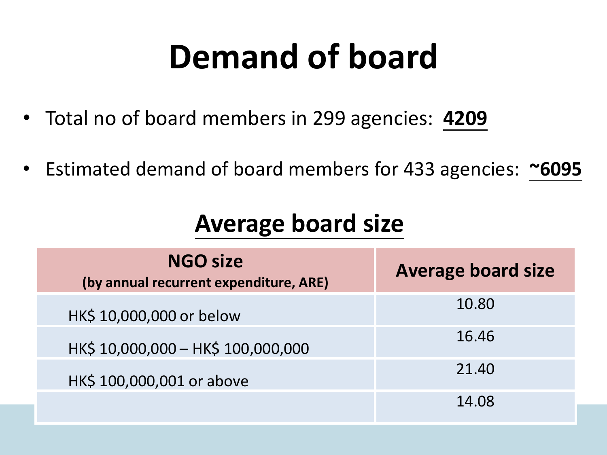## **Demand of board**

- Total no of board members in 299 agencies: **4209**
- Estimated demand of board members for 433 agencies: **~6095**

#### **Average board size**

| <b>NGO size</b><br>(by annual recurrent expenditure, ARE) | <b>Average board size</b> |
|-----------------------------------------------------------|---------------------------|
| HK\$ 10,000,000 or below                                  | 10.80                     |
| HK\$ 10,000,000 - HK\$ 100,000,000                        | 16.46                     |
| HK\$ 100,000,001 or above                                 | 21.40                     |
|                                                           | 14.08                     |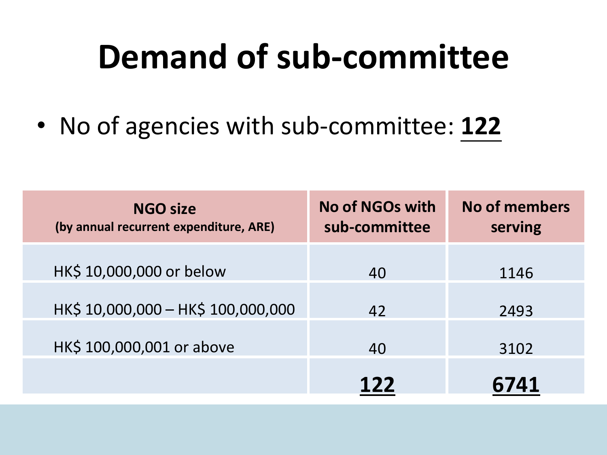### **Demand of sub-committee**

• No of agencies with sub-committee: **122**

| <b>NGO size</b><br>(by annual recurrent expenditure, ARE) | <b>No of NGOs with</b><br>sub-committee | No of members<br>serving |
|-----------------------------------------------------------|-----------------------------------------|--------------------------|
| HK\$ 10,000,000 or below                                  | 40                                      | 1146                     |
| HK\$ 10,000,000 - HK\$ 100,000,000                        | 42                                      | 2493                     |
| HK\$ 100,000,001 or above                                 | 40                                      | 3102                     |
|                                                           | 122                                     | 6741                     |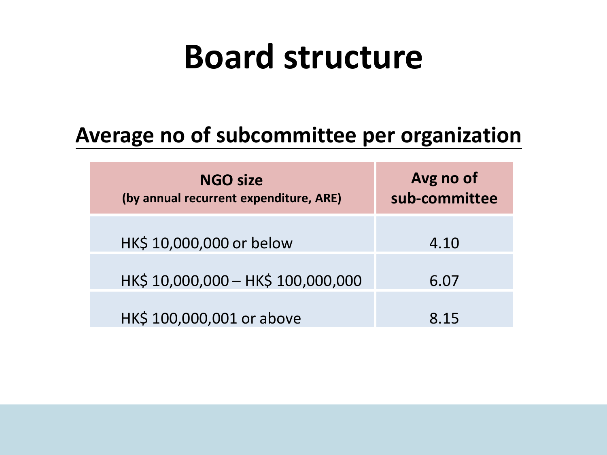#### **Board structure**

#### **Average no of subcommittee per organization**

| <b>NGO size</b><br>(by annual recurrent expenditure, ARE) | Avg no of<br>sub-committee |
|-----------------------------------------------------------|----------------------------|
| HK\$ 10,000,000 or below                                  | 4.10                       |
| HK\$ 10,000,000 - HK\$ 100,000,000                        | 6.07                       |
| HK\$ 100,000,001 or above                                 | 8 1 5                      |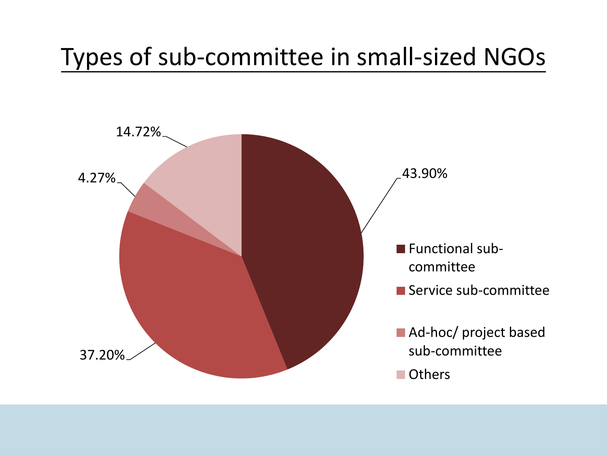#### Types of sub-committee in small-sized NGOs

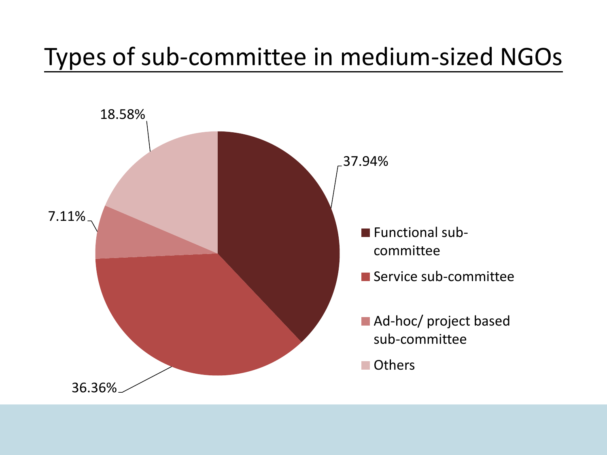#### Types of sub-committee in medium-sized NGOs

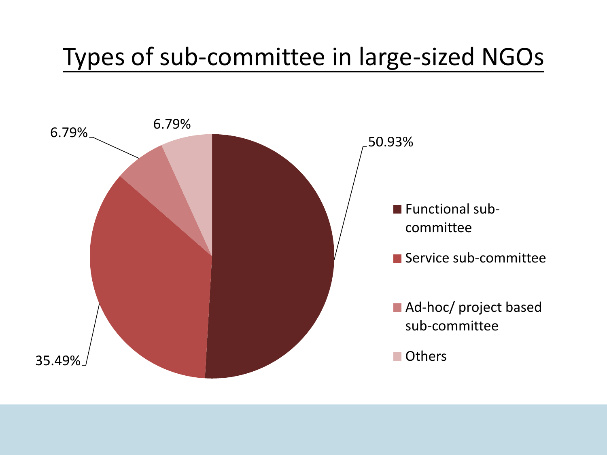#### Types of sub-committee in large-sized NGOs

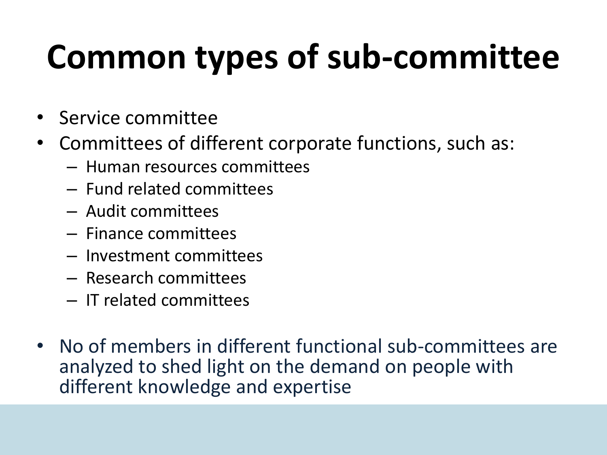# **Common types of sub-committee**

- Service committee
- Committees of different corporate functions, such as:
	- Human resources committees
	- Fund related committees
	- Audit committees
	- Finance committees
	- Investment committees
	- Research committees
	- IT related committees
- No of members in different functional sub-committees are analyzed to shed light on the demand on people with different knowledge and expertise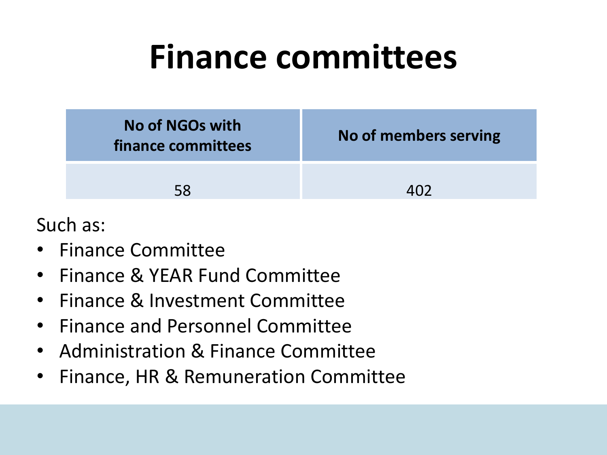### **Finance committees**

| No of NGOs with<br>finance committees | No of members serving |
|---------------------------------------|-----------------------|
| 58                                    |                       |

- Finance Committee
- Finance & YEAR Fund Committee
- Finance & Investment Committee
- Finance and Personnel Committee
- Administration & Finance Committee
- Finance, HR & Remuneration Committee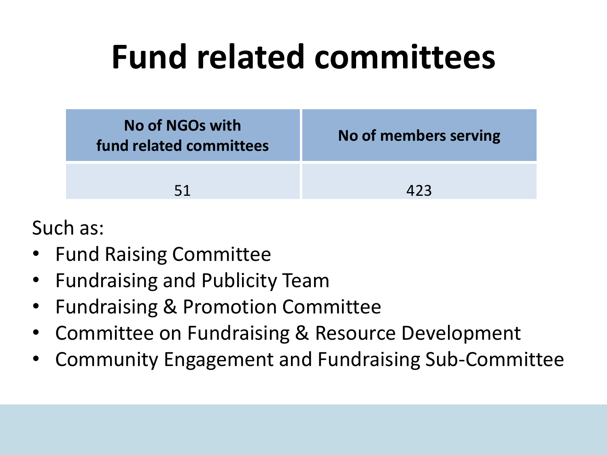## **Fund related committees**

| No of NGOs with<br>fund related committees | No of members serving |
|--------------------------------------------|-----------------------|
| 51                                         | 423                   |

- Fund Raising Committee
- Fundraising and Publicity Team
- Fundraising & Promotion Committee
- Committee on Fundraising & Resource Development
- Community Engagement and Fundraising Sub-Committee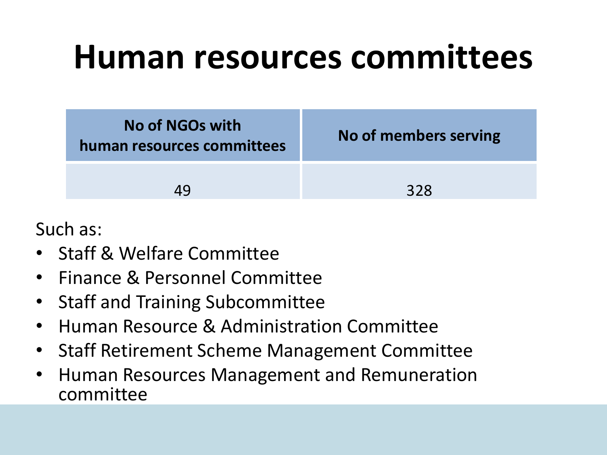#### **Human resources committees**

| No of NGOs with<br>human resources committees | No of members serving |
|-----------------------------------------------|-----------------------|
| 49                                            | 328                   |

- Staff & Welfare Committee
- Finance & Personnel Committee
- Staff and Training Subcommittee
- Human Resource & Administration Committee
- Staff Retirement Scheme Management Committee
- Human Resources Management and Remuneration committee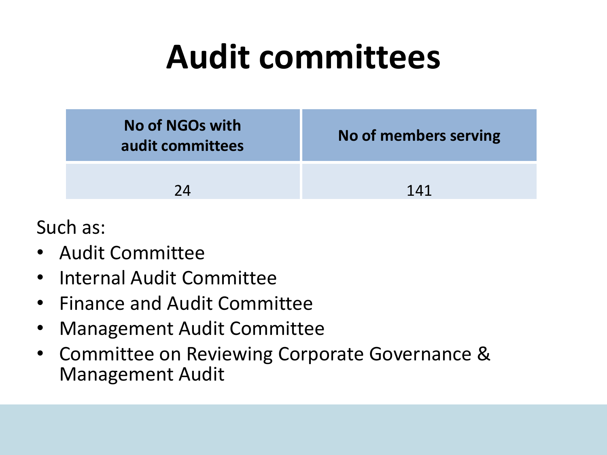### **Audit committees**

| <b>No of NGOs with</b><br>audit committees | No of members serving |
|--------------------------------------------|-----------------------|
| 7Δ                                         | 141                   |

- Audit Committee
- Internal Audit Committee
- Finance and Audit Committee
- Management Audit Committee
- Committee on Reviewing Corporate Governance & Management Audit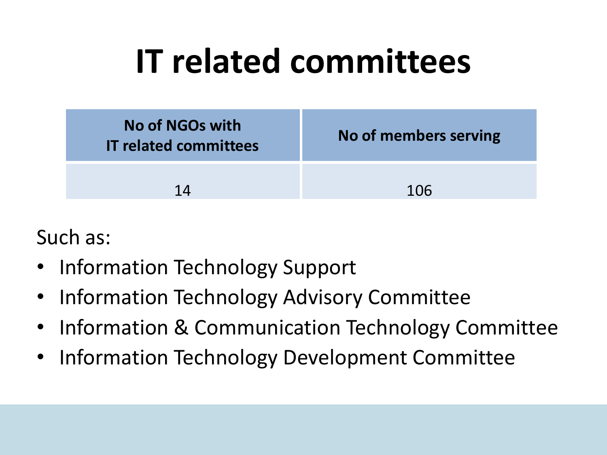## **IT related committees**



- Information Technology Support
- Information Technology Advisory Committee
- Information & Communication Technology Committee
- Information Technology Development Committee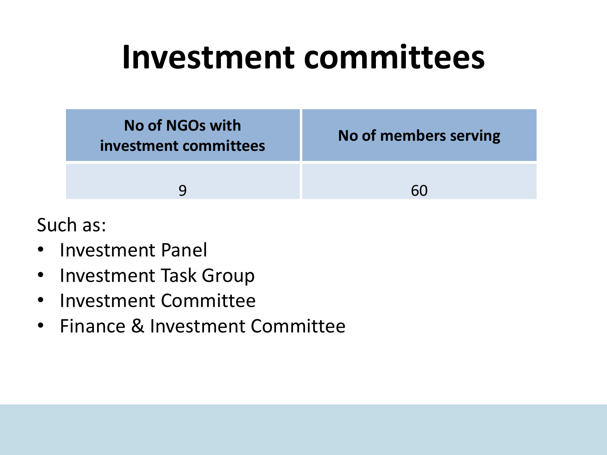#### **Investment committees**



- Investment Panel
- Investment Task Group
- Investment Committee
- Finance & Investment Committee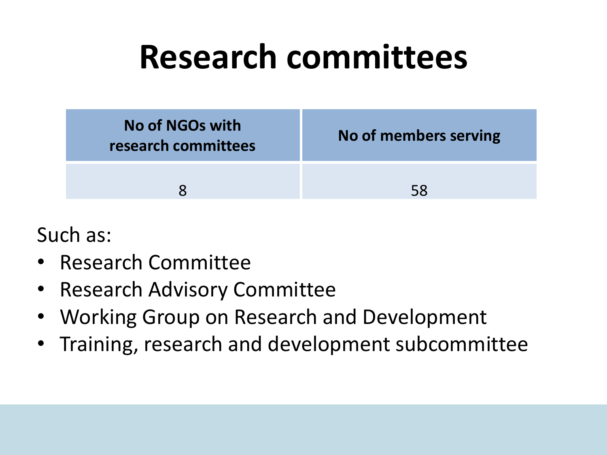### **Research committees**



- Research Committee
- Research Advisory Committee
- Working Group on Research and Development
- Training, research and development subcommittee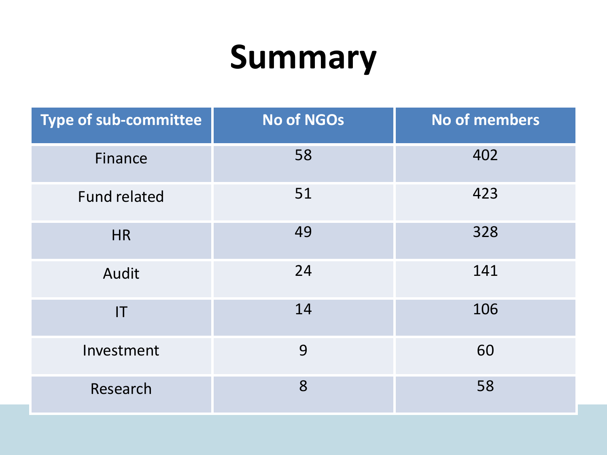### **Summary**

| <b>Type of sub-committee</b> | <b>No of NGOs</b> | <b>No of members</b> |
|------------------------------|-------------------|----------------------|
| Finance                      | 58                | 402                  |
| <b>Fund related</b>          | 51                | 423                  |
| <b>HR</b>                    | 49                | 328                  |
| Audit                        | 24                | 141                  |
| $\mathsf{I}\mathsf{T}$       | 14                | 106                  |
| Investment                   | 9                 | 60                   |
| Research                     | 8                 | 58                   |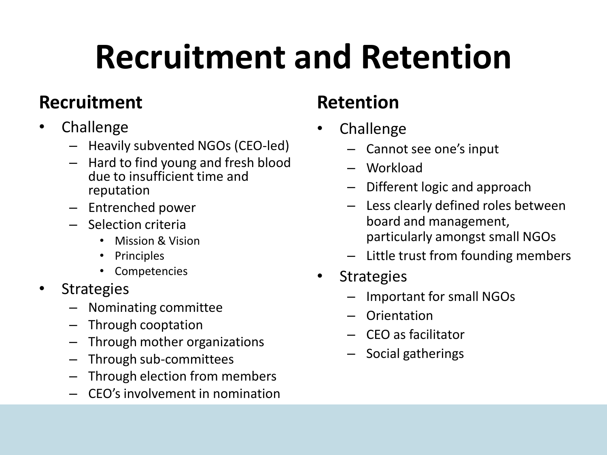# **Recruitment and Retention**

#### **Recruitment**

- Challenge
	- Heavily subvented NGOs (CEO-led)
	- Hard to find young and fresh blood due to insufficient time and reputation
	- Entrenched power
	- Selection criteria
		- Mission & Vision
		- **Principles**
		- Competencies
- Strategies
	- Nominating committee
	- Through cooptation
	- Through mother organizations
	- Through sub-committees
	- Through election from members
	- CEO's involvement in nomination

#### **Retention**

- Challenge
	- Cannot see one's input
	- Workload
	- Different logic and approach
	- Less clearly defined roles between board and management, particularly amongst small NGOs
	- Little trust from founding members
- **Strategies** 
	- Important for small NGOs
	- Orientation
	- CEO as facilitator
	- Social gatherings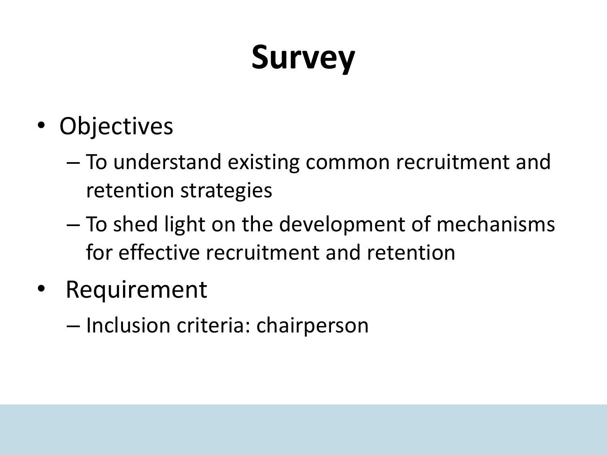## **Survey**

- Objectives
	- To understand existing common recruitment and retention strategies
	- To shed light on the development of mechanisms for effective recruitment and retention
- **Requirement** 
	- Inclusion criteria: chairperson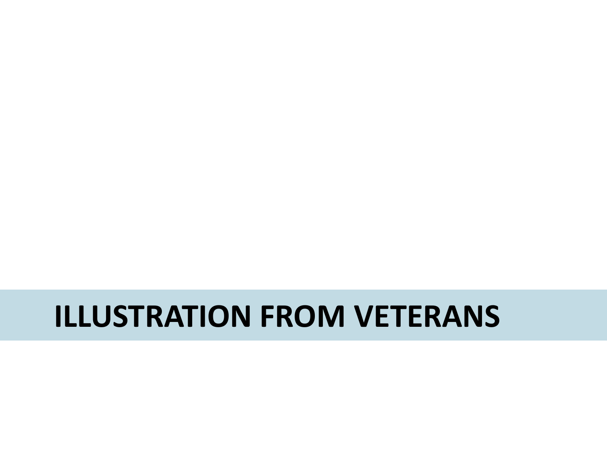#### **ILLUSTRATION FROM VETERANS**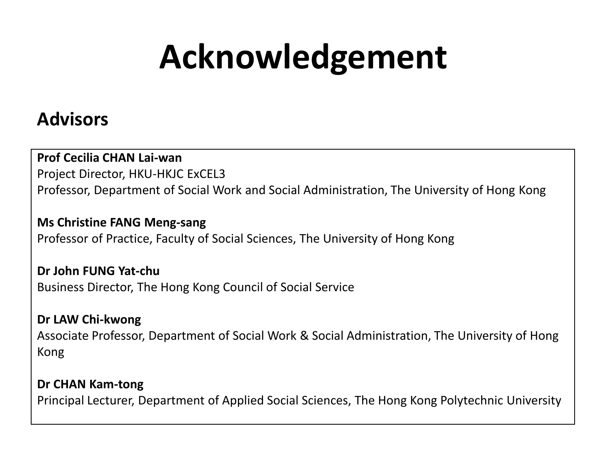## **Acknowledgement**

#### **Advisors**

#### **Prof Cecilia CHAN Lai-wan**

Project Director, HKU-HKJC ExCEL3 Professor, Department of Social Work and Social Administration, The University of Hong Kong

**Ms Christine FANG Meng-sang** Professor of Practice, Faculty of Social Sciences, The University of Hong Kong

**Dr John FUNG Yat-chu** Business Director, The Hong Kong Council of Social Service

**Dr LAW Chi-kwong** Associate Professor, Department of Social Work & Social Administration, The University of Hong Kong

**Dr CHAN Kam-tong** Principal Lecturer, Department of Applied Social Sciences, The Hong Kong Polytechnic University